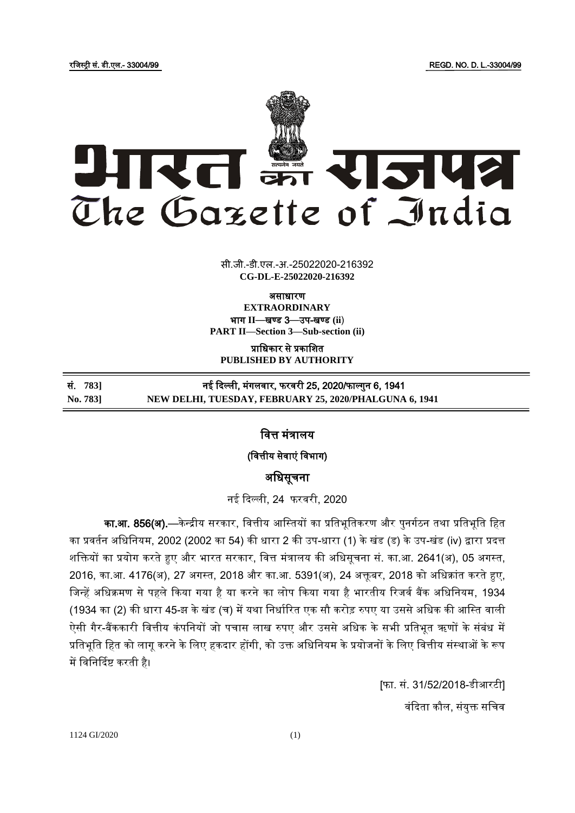रजिस्ट्री सं. डी.एल.- 33004/99 REGD. NO. D. L.-33004/99



 $\overline{z}$   $\overline{z}$   $\overline{z}$ सी.जी.-डी.एल.-अ.-25022020-216392 **CG-DL-E-25022020-216392**

असाधारण **EXTRAORDINARY** भाग **II**—खण् ड 3—उप-खण् ड **(ii**) **PART II—Section 3—Sub-section (ii)**

प्राजधकार से प्रकाजित **PUBLISHED BY AUTHORITY**

सं. *7*83] तई दिल्ली, मंगलवार, फरवरी 25, 2020/फाल्गुन 6, 1941 **No. 783] NEW DELHI, TUESDAY, FEBRUARY 25, 2020/PHALGUNA 6, 1941**

जित्त मंत्रालय

(वित्तीय सेवाएं विभाग)

अजधसूचना

नई ददल्ली, 24 फरिरी, 2020

<mark>का.आ. 856(अ).</mark>—केन्द्रीय सरकार, वित्तीय आस्तियों का प्रतिभूतिकरण और पुनर्गठन तथा प्रतिभूति हित का प्रवर्तन अधिनियम, 2002 (2002 का 54) की धारा 2 की उप-धारा (1) के खंड (ड) के उप-खंड (iv) द्वारा प्रदत्त िजियों का प्रयोग करते हुए और भारत सरकार, जित्त मंत्रालय की अजधसूचना सं. का.आ. 2641(अ), 05 अगस्ट्त, 2016, का.आ. 4176(अ), 27 अगस्त, 2018 और का.आ. 5391(अ), 24 अक्तूबर, 2018 को अधिक्रांत करते हुए, जिन्हें अधिक्रमण से पहले किया गया है या करने का लोप किया गया है भारतीय रिजर्व बैंक अधिनियम, 1934 (1934 का (2) की धारा 45-झ के खंड (च) में यथा निर्धारित एक सौ करोड़ रुपए या उससे अधिक की आस्ति वाली ऐसी गैर-बैंककारी वित्तीय कंपनियों जो पचास लाख रुपए और उससे अधिक के सभी प्रतिभूत ऋणों के संबंध में प्रतिभूति हित को लागू करने के लिए हकदार होंगी, को उक्त अधिनियम के प्रयोजनों के लिए वित्तीय संस्थाओं के रूप में विनिर्दिष्ट करती है।

> [फा. सं. 31/52/2018-डीआरटी] वंदिता कौल, संयुक्त सचिव

1124 GI/2020 (1)